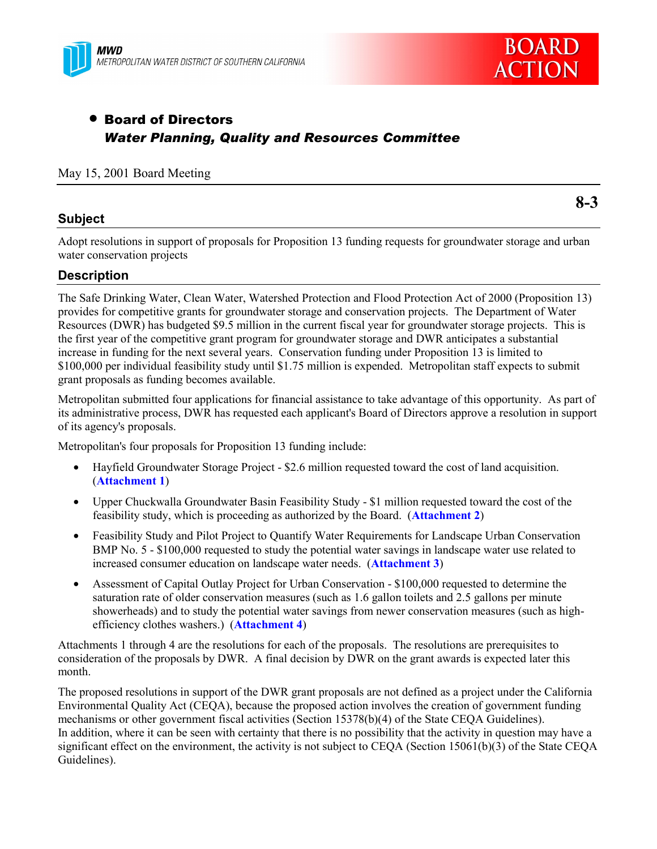



# • Board of Directors *Water Planning, Quality and Resources Committee*

#### May 15, 2001 Board Meeting

### **Subject**

**8-3**

Adopt resolutions in support of proposals for Proposition 13 funding requests for groundwater storage and urban water conservation projects

### **Description**

The Safe Drinking Water, Clean Water, Watershed Protection and Flood Protection Act of 2000 (Proposition 13) provides for competitive grants for groundwater storage and conservation projects. The Department of Water Resources (DWR) has budgeted \$9.5 million in the current fiscal year for groundwater storage projects. This is the first year of the competitive grant program for groundwater storage and DWR anticipates a substantial increase in funding for the next several years. Conservation funding under Proposition 13 is limited to \$100,000 per individual feasibility study until \$1.75 million is expended. Metropolitan staff expects to submit grant proposals as funding becomes available.

Metropolitan submitted four applications for financial assistance to take advantage of this opportunity. As part of its administrative process, DWR has requested each applicant's Board of Directors approve a resolution in support of its agency's proposals.

Metropolitan's four proposals for Proposition 13 funding include:

- Hayfield Groundwater Storage Project \$2.6 million requested toward the cost of land acquisition. (**Attachment 1**)
- Upper Chuckwalla Groundwater Basin Feasibility Study \$1 million requested toward the cost of the feasibility study, which is proceeding as authorized by the Board. (**Attachment 2**)
- Feasibility Study and Pilot Project to Quantify Water Requirements for Landscape Urban Conservation BMP No. 5 - \$100,000 requested to study the potential water savings in landscape water use related to increased consumer education on landscape water needs.(**Attachment 3**)
- Assessment of Capital Outlay Project for Urban Conservation \$100,000 requested to determine the saturation rate of older conservation measures (such as 1.6 gallon toilets and 2.5 gallons per minute showerheads) and to study the potential water savings from newer conservation measures (such as highefficiency clothes washers.) (**Attachment 4**)

Attachments 1 through 4 are the resolutions for each of the proposals. The resolutions are prerequisites to consideration of the proposals by DWR. A final decision by DWR on the grant awards is expected later this month.

The proposed resolutions in support of the DWR grant proposals are not defined as a project under the California Environmental Quality Act (CEQA), because the proposed action involves the creation of government funding mechanisms or other government fiscal activities (Section 15378(b)(4) of the State CEQA Guidelines). In addition, where it can be seen with certainty that there is no possibility that the activity in question may have a significant effect on the environment, the activity is not subject to CEQA (Section 15061(b)(3) of the State CEQA Guidelines).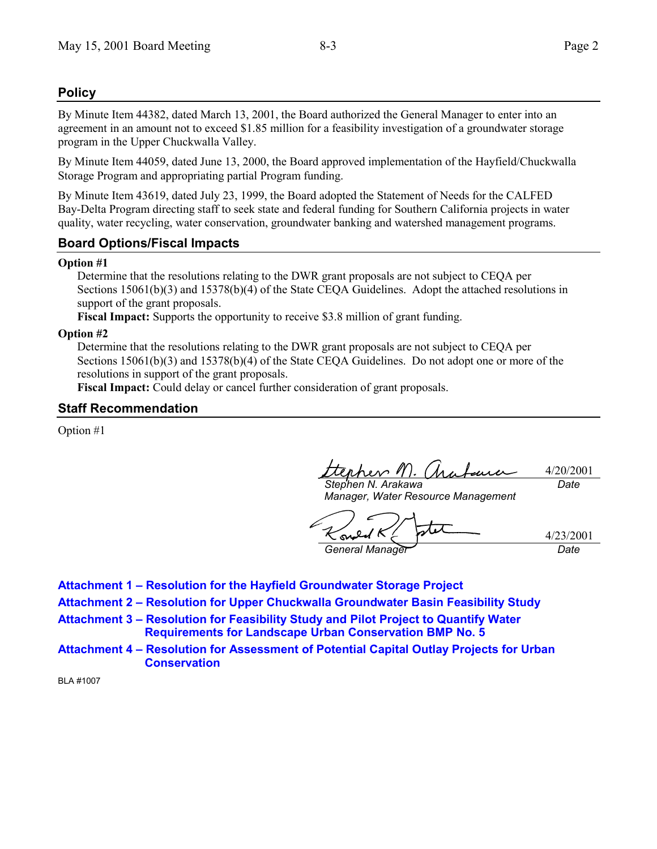# **Policy**

By Minute Item 44382, dated March 13, 2001, the Board authorized the General Manager to enter into an agreement in an amount not to exceed \$1.85 million for a feasibility investigation of a groundwater storage program in the Upper Chuckwalla Valley.

By Minute Item 44059, dated June 13, 2000, the Board approved implementation of the Hayfield/Chuckwalla Storage Program and appropriating partial Program funding.

By Minute Item 43619, dated July 23, 1999, the Board adopted the Statement of Needs for the CALFED Bay-Delta Program directing staff to seek state and federal funding for Southern California projects in water quality, water recycling, water conservation, groundwater banking and watershed management programs.

# **Board Options/Fiscal Impacts**

#### **Option #1**

Determine that the resolutions relating to the DWR grant proposals are not subject to CEQA per Sections 15061(b)(3) and 15378(b)(4) of the State CEQA Guidelines. Adopt the attached resolutions in support of the grant proposals.

**Fiscal Impact:** Supports the opportunity to receive \$3.8 million of grant funding.

#### **Option #2**

Determine that the resolutions relating to the DWR grant proposals are not subject to CEQA per Sections 15061(b)(3) and 15378(b)(4) of the State CEOA Guidelines. Do not adopt one or more of the resolutions in support of the grant proposals.

**Fiscal Impact:** Could delay or cancel further consideration of grant proposals.

### **Staff Recommendation**

Option #1

rhev M 4/20/2001 *Stephen N. Arakawa Date*

*Manager, Water Resource Management*

4/23/2001 *General Manager Date*

- **Attachment 1 Resolution for the Hayfield Groundwater Storage Project**
- **Attachment 2 Resolution for Upper Chuckwalla Groundwater Basin Feasibility Study**
- Attachment 3 Resolution for Feasibility Study and Pilot Project to Quantify Water **Requirements for Landscape Urban Conservation BMP No. 5**
- Attachment 4 Resolution for Assessment of Potential Capital Outlay Projects for Urban **Conservation**

BLA #1007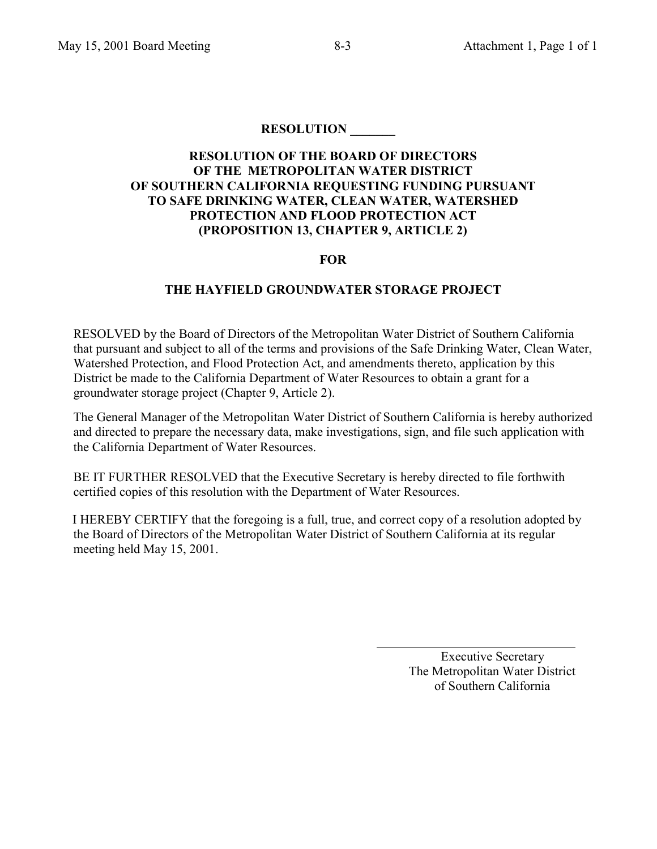# **RESOLUTION OF THE BOARD OF DIRECTORS OF THE METROPOLITAN WATER DISTRICT OF SOUTHERN CALIFORNIA REQUESTING FUNDING PURSUANT TO SAFE DRINKING WATER, CLEAN WATER, WATERSHED PROTECTION AND FLOOD PROTECTION ACT (PROPOSITION 13, CHAPTER 9, ARTICLE 2)**

# **FOR**

### **THE HAYFIELD GROUNDWATER STORAGE PROJECT**

RESOLVED by the Board of Directors of the Metropolitan Water District of Southern California that pursuant and subject to all of the terms and provisions of the Safe Drinking Water, Clean Water, Watershed Protection, and Flood Protection Act, and amendments thereto, application by this District be made to the California Department of Water Resources to obtain a grant for a groundwater storage project (Chapter 9, Article 2).

The General Manager of the Metropolitan Water District of Southern California is hereby authorized and directed to prepare the necessary data, make investigations, sign, and file such application with the California Department of Water Resources.

BE IT FURTHER RESOLVED that the Executive Secretary is hereby directed to file forthwith certified copies of this resolution with the Department of Water Resources.

I HEREBY CERTIFY that the foregoing is a full, true, and correct copy of a resolution adopted by the Board of Directors of the Metropolitan Water District of Southern California at its regular meeting held May 15, 2001.

 $\overline{a}$ 

 Executive Secretary The Metropolitan Water District of Southern California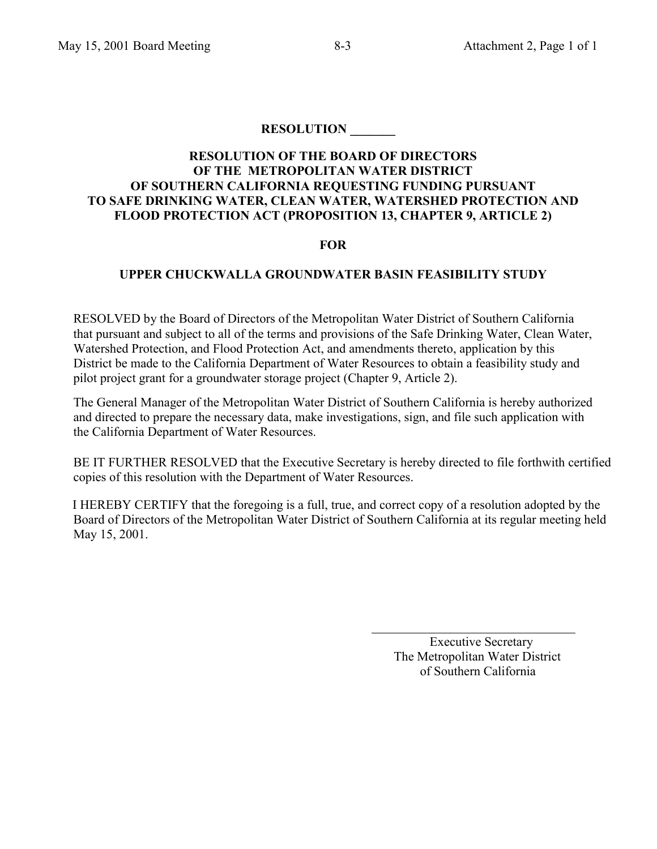# **RESOLUTION OF THE BOARD OF DIRECTORS OF THE METROPOLITAN WATER DISTRICT OF SOUTHERN CALIFORNIA REQUESTING FUNDING PURSUANT TO SAFE DRINKING WATER, CLEAN WATER, WATERSHED PROTECTION AND FLOOD PROTECTION ACT (PROPOSITION 13, CHAPTER 9, ARTICLE 2)**

### **FOR**

# **UPPER CHUCKWALLA GROUNDWATER BASIN FEASIBILITY STUDY**

RESOLVED by the Board of Directors of the Metropolitan Water District of Southern California that pursuant and subject to all of the terms and provisions of the Safe Drinking Water, Clean Water, Watershed Protection, and Flood Protection Act, and amendments thereto, application by this District be made to the California Department of Water Resources to obtain a feasibility study and pilot project grant for a groundwater storage project (Chapter 9, Article 2).

The General Manager of the Metropolitan Water District of Southern California is hereby authorized and directed to prepare the necessary data, make investigations, sign, and file such application with the California Department of Water Resources.

BE IT FURTHER RESOLVED that the Executive Secretary is hereby directed to file forthwith certified copies of this resolution with the Department of Water Resources.

I HEREBY CERTIFY that the foregoing is a full, true, and correct copy of a resolution adopted by the Board of Directors of the Metropolitan Water District of Southern California at its regular meeting held May 15, 2001.

 $\overline{a}$ 

 Executive Secretary The Metropolitan Water District of Southern California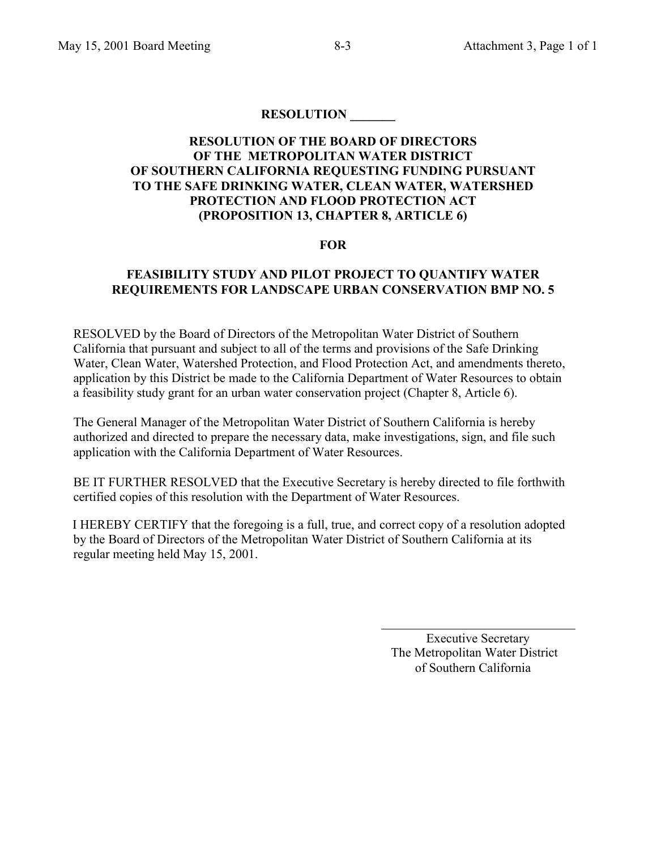# **RESOLUTION OF THE BOARD OF DIRECTORS OF THE METROPOLITAN WATER DISTRICT OF SOUTHERN CALIFORNIA REQUESTING FUNDING PURSUANT TO THE SAFE DRINKING WATER, CLEAN WATER, WATERSHED PROTECTION AND FLOOD PROTECTION ACT (PROPOSITION 13, CHAPTER 8, ARTICLE 6)**

### **FOR**

### **FEASIBILITY STUDY AND PILOT PROJECT TO QUANTIFY WATER REQUIREMENTS FOR LANDSCAPE URBAN CONSERVATION BMP NO. 5**

RESOLVED by the Board of Directors of the Metropolitan Water District of Southern California that pursuant and subject to all of the terms and provisions of the Safe Drinking Water, Clean Water, Watershed Protection, and Flood Protection Act, and amendments thereto, application by this District be made to the California Department of Water Resources to obtain a feasibility study grant for an urban water conservation project (Chapter 8, Article 6).

The General Manager of the Metropolitan Water District of Southern California is hereby authorized and directed to prepare the necessary data, make investigations, sign, and file such application with the California Department of Water Resources.

BE IT FURTHER RESOLVED that the Executive Secretary is hereby directed to file forthwith certified copies of this resolution with the Department of Water Resources.

I HEREBY CERTIFY that the foregoing is a full, true, and correct copy of a resolution adopted by the Board of Directors of the Metropolitan Water District of Southern California at its regular meeting held May 15, 2001.

 Executive Secretary The Metropolitan Water District of Southern California